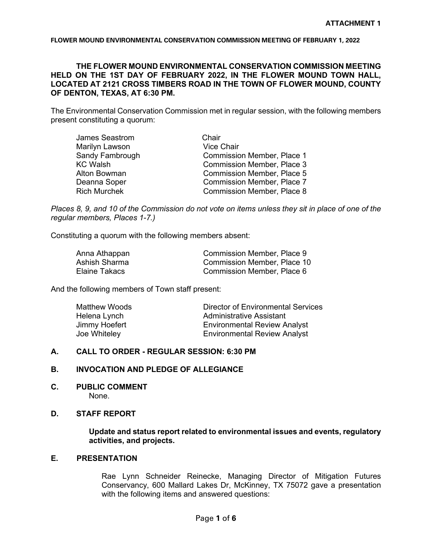## **THE FLOWER MOUND ENVIRONMENTAL CONSERVATION COMMISSION MEETING HELD ON THE 1ST DAY OF FEBRUARY 2022, IN THE FLOWER MOUND TOWN HALL, LOCATED AT 2121 CROSS TIMBERS ROAD IN THE TOWN OF FLOWER MOUND, COUNTY OF DENTON, TEXAS, AT 6:30 PM.**

The Environmental Conservation Commission met in regular session, with the following members present constituting a quorum:

| James Seastrom      | Chair                             |
|---------------------|-----------------------------------|
| Marilyn Lawson      | <b>Vice Chair</b>                 |
| Sandy Fambrough     | <b>Commission Member, Place 1</b> |
| <b>KC Walsh</b>     | <b>Commission Member, Place 3</b> |
| Alton Bowman        | <b>Commission Member, Place 5</b> |
| Deanna Soper        | <b>Commission Member, Place 7</b> |
| <b>Rich Murchek</b> | <b>Commission Member, Place 8</b> |

*Places 8, 9, and 10 of the Commission do not vote on items unless they sit in place of one of the regular members, Places 1-7.)*

Constituting a quorum with the following members absent:

| Anna Athappan | Commission Member, Place 9  |
|---------------|-----------------------------|
| Ashish Sharma | Commission Member, Place 10 |
| Elaine Takacs | Commission Member, Place 6  |

And the following members of Town staff present:

| Matthew Woods | Director of Environmental Services  |
|---------------|-------------------------------------|
| Helena Lynch  | Administrative Assistant            |
| Jimmy Hoefert | <b>Environmental Review Analyst</b> |
| Joe Whiteley  | <b>Environmental Review Analyst</b> |

### **A. CALL TO ORDER - REGULAR SESSION: 6:30 PM**

### **B. INVOCATION AND PLEDGE OF ALLEGIANCE**

**C. PUBLIC COMMENT** None.

### **D. STAFF REPORT**

**Update and status report related to environmental issues and events, regulatory activities, and projects.**

# **E. PRESENTATION**

Rae Lynn Schneider Reinecke, Managing Director of Mitigation Futures Conservancy, 600 Mallard Lakes Dr, McKinney, TX 75072 gave a presentation with the following items and answered questions: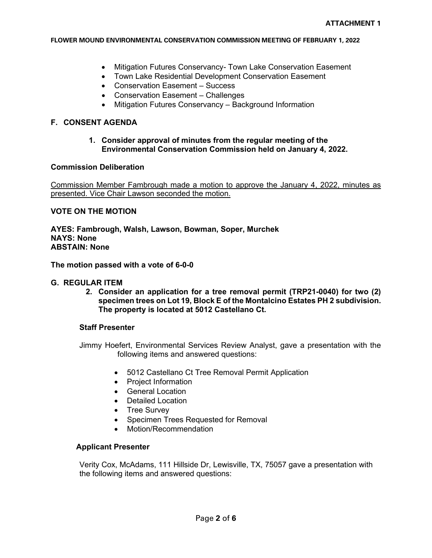- Mitigation Futures Conservancy- Town Lake Conservation Easement
- Town Lake Residential Development Conservation Easement
- Conservation Easement Success
- Conservation Easement Challenges
- Mitigation Futures Conservancy Background Information

## **F. CONSENT AGENDA**

### **1. Consider approval of minutes from the regular meeting of the Environmental Conservation Commission held on January 4, 2022.**

## **Commission Deliberation**

Commission Member Fambrough made a motion to approve the January 4, 2022, minutes as presented. Vice Chair Lawson seconded the motion.

## **VOTE ON THE MOTION**

**AYES: Fambrough, Walsh, Lawson, Bowman, Soper, Murchek NAYS: None ABSTAIN: None**

**The motion passed with a vote of 6-0-0**

## **G. REGULAR ITEM**

**2. Consider an application for a tree removal permit (TRP21-0040) for two (2) specimen trees on Lot 19, Block E of the Montalcino Estates PH 2 subdivision. The property is located at 5012 Castellano Ct.**

## **Staff Presenter**

Jimmy Hoefert, Environmental Services Review Analyst, gave a presentation with the following items and answered questions:

- 5012 Castellano Ct Tree Removal Permit Application
- Project Information
- General Location
- Detailed Location
- Tree Survey
- Specimen Trees Requested for Removal
- Motion/Recommendation

## **Applicant Presenter**

Verity Cox, McAdams, 111 Hillside Dr, Lewisville, TX, 75057 gave a presentation with the following items and answered questions: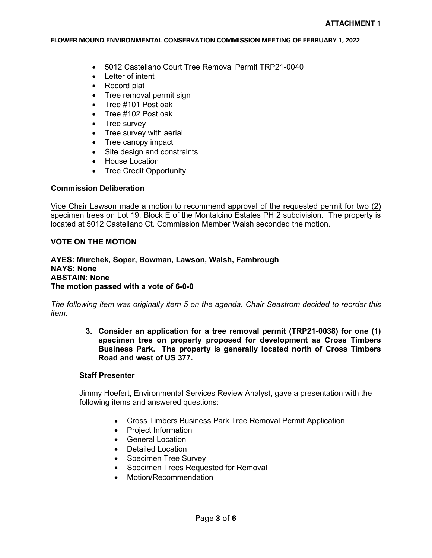- 5012 Castellano Court Tree Removal Permit TRP21-0040
- Letter of intent
- Record plat
- Tree removal permit sign
- Tree #101 Post oak
- Tree #102 Post oak
- Tree survey
- Tree survey with aerial
- Tree canopy impact
- Site design and constraints
- House Location
- Tree Credit Opportunity

## **Commission Deliberation**

Vice Chair Lawson made a motion to recommend approval of the requested permit for two (2) specimen trees on Lot 19, Block E of the Montalcino Estates PH 2 subdivision. The property is located at 5012 Castellano Ct. Commission Member Walsh seconded the motion.

# **VOTE ON THE MOTION**

**AYES: Murchek, Soper, Bowman, Lawson, Walsh, Fambrough NAYS: None ABSTAIN: None The motion passed with a vote of 6-0-0**

*The following item was originally item 5 on the agenda. Chair Seastrom decided to reorder this item.*

> **3. Consider an application for a tree removal permit (TRP21-0038) for one (1) specimen tree on property proposed for development as Cross Timbers Business Park. The property is generally located north of Cross Timbers Road and west of US 377.**

## **Staff Presenter**

Jimmy Hoefert, Environmental Services Review Analyst, gave a presentation with the following items and answered questions:

- Cross Timbers Business Park Tree Removal Permit Application
- Project Information
- General Location
- Detailed Location
- Specimen Tree Survey
- Specimen Trees Requested for Removal
- Motion/Recommendation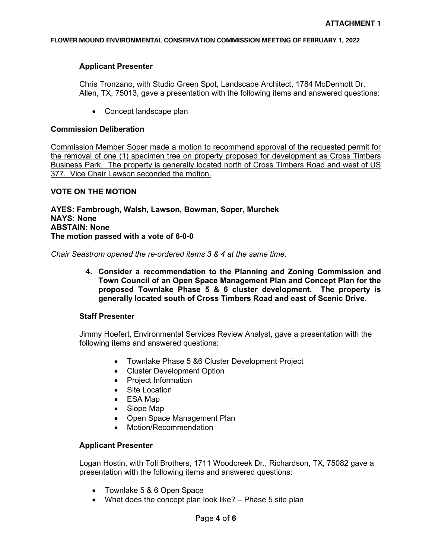## **Applicant Presenter**

Chris Tronzano, with Studio Green Spot, Landscape Architect, 1784 McDermott Dr, Allen, TX, 75013, gave a presentation with the following items and answered questions:

• Concept landscape plan

## **Commission Deliberation**

Commission Member Soper made a motion to recommend approval of the requested permit for the removal of one (1) specimen tree on property proposed for development as Cross Timbers Business Park. The property is generally located north of Cross Timbers Road and west of US 377. Vice Chair Lawson seconded the motion.

# **VOTE ON THE MOTION**

**AYES: Fambrough, Walsh, Lawson, Bowman, Soper, Murchek NAYS: None ABSTAIN: None The motion passed with a vote of 6-0-0**

*Chair Seastrom opened the re-ordered items 3 & 4 at the same time.*

**4. Consider a recommendation to the Planning and Zoning Commission and Town Council of an Open Space Management Plan and Concept Plan for the proposed Townlake Phase 5 & 6 cluster development. The property is generally located south of Cross Timbers Road and east of Scenic Drive.** 

## **Staff Presenter**

Jimmy Hoefert, Environmental Services Review Analyst, gave a presentation with the following items and answered questions:

- Townlake Phase 5 &6 Cluster Development Project
- Cluster Development Option
- Project Information
- Site Location
- ESA Map
- Slope Map
- Open Space Management Plan
- Motion/Recommendation

## **Applicant Presenter**

Logan Hostin, with Toll Brothers, 1711 Woodcreek Dr., Richardson, TX, 75082 gave a presentation with the following items and answered questions:

- Townlake 5 & 6 Open Space
- What does the concept plan look like? Phase 5 site plan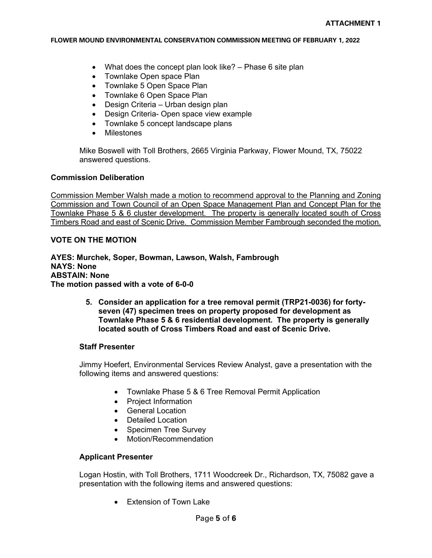- What does the concept plan look like? Phase 6 site plan
- Townlake Open space Plan
- Townlake 5 Open Space Plan
- Townlake 6 Open Space Plan
- Design Criteria Urban design plan
- Design Criteria- Open space view example
- Townlake 5 concept landscape plans
- Milestones

Mike Boswell with Toll Brothers, 2665 Virginia Parkway, Flower Mound, TX, 75022 answered questions.

### **Commission Deliberation**

Commission Member Walsh made a motion to recommend approval to the Planning and Zoning Commission and Town Council of an Open Space Management Plan and Concept Plan for the Townlake Phase 5 & 6 cluster development. The property is generally located south of Cross Timbers Road and east of Scenic Drive. Commission Member Fambrough seconded the motion.

## **VOTE ON THE MOTION**

**AYES: Murchek, Soper, Bowman, Lawson, Walsh, Fambrough NAYS: None ABSTAIN: None The motion passed with a vote of 6-0-0**

> **5. Consider an application for a tree removal permit (TRP21-0036) for fortyseven (47) specimen trees on property proposed for development as Townlake Phase 5 & 6 residential development. The property is generally located south of Cross Timbers Road and east of Scenic Drive.**

## **Staff Presenter**

Jimmy Hoefert, Environmental Services Review Analyst, gave a presentation with the following items and answered questions:

- Townlake Phase 5 & 6 Tree Removal Permit Application
- Project Information
- General Location
- Detailed Location
- Specimen Tree Survey
- Motion/Recommendation

## **Applicant Presenter**

Logan Hostin, with Toll Brothers, 1711 Woodcreek Dr., Richardson, TX, 75082 gave a presentation with the following items and answered questions:

• Extension of Town Lake